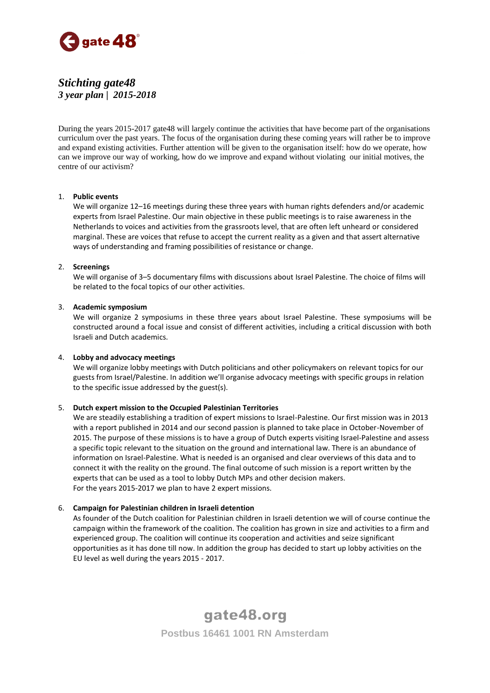

# *Stichting gate48 3 year plan | 2015-2018*

During the years 2015-2017 gate48 will largely continue the activities that have become part of the organisations curriculum over the past years. The focus of the organisation during these coming years will rather be to improve and expand existing activities. Further attention will be given to the organisation itself: how do we operate, how can we improve our way of working, how do we improve and expand without violating our initial motives, the centre of our activism?

# 1. **Public events**

We will organize 12–16 meetings during these three years with human rights defenders and/or academic experts from Israel Palestine. Our main objective in these public meetings is to raise awareness in the Netherlands to voices and activities from the grassroots level, that are often left unheard or considered marginal. These are voices that refuse to accept the current reality as a given and that assert alternative ways of understanding and framing possibilities of resistance or change.

# 2. **Screenings**

We will organise of 3–5 documentary films with discussions about Israel Palestine. The choice of films will be related to the focal topics of our other activities.

# 3. **Academic symposium**

We will organize 2 symposiums in these three years about Israel Palestine. These symposiums will be constructed around a focal issue and consist of different activities, including a critical discussion with both Israeli and Dutch academics.

#### 4. **Lobby and advocacy meetings**

We will organize lobby meetings with Dutch politicians and other policymakers on relevant topics for our guests from Israel/Palestine. In addition we'll organise advocacy meetings with specific groups in relation to the specific issue addressed by the guest(s).

#### 5. **Dutch expert mission to the Occupied Palestinian Territories**

We are steadily establishing a tradition of expert missions to Israel-Palestine. Our first mission was in 2013 with a report published in 2014 and our second passion is planned to take place in October-November of 2015. The purpose of these missions is to have a group of Dutch experts visiting Israel-Palestine and assess a specific topic relevant to the situation on the ground and international law. There is an abundance of information on Israel-Palestine. What is needed is an organised and clear overviews of this data and to connect it with the reality on the ground. The final outcome of such mission is a report written by the experts that can be used as a tool to lobby Dutch MPs and other decision makers. For the years 2015-2017 we plan to have 2 expert missions.

#### 6. **Campaign for Palestinian children in Israeli detention**

As founder of the Dutch coalition for Palestinian children in Israeli detention we will of course continue the campaign within the framework of the coalition. The coalition has grown in size and activities to a firm and experienced group. The coalition will continue its cooperation and activities and seize significant opportunities as it has done till now. In addition the group has decided to start up lobby activities on the EU level as well during the years 2015 - 2017.

> gate48.org **Postbus 16461 1001 RN Amsterdam**